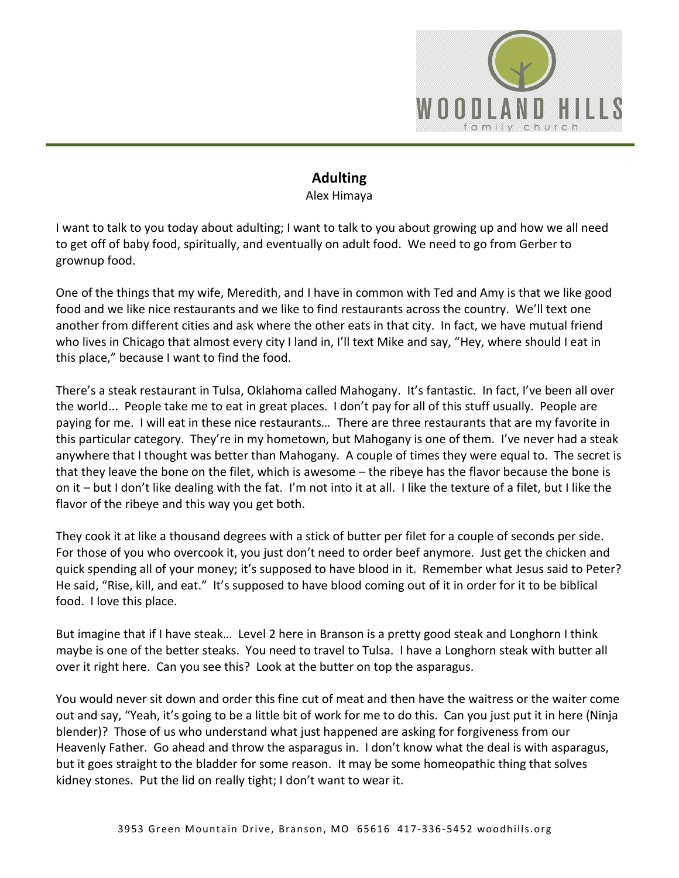

## **Adulting**  Alex Himaya

I want to talk to you today about adulting; I want to talk to you about growing up and how we all need to get off of baby food, spiritually, and eventually on adult food. We need to go from Gerber to grownup food.

One of the things that my wife, Meredith, and I have in common with Ted and Amy is that we like good food and we like nice restaurants and we like to find restaurants across the country. We'll text one another from different cities and ask where the other eats in that city. In fact, we have mutual friend who lives in Chicago that almost every city I land in, I'll text Mike and say, "Hey, where should I eat in this place," because I want to find the food.

There's a steak restaurant in Tulsa, Oklahoma called Mahogany. It's fantastic. In fact, I've been all over the world... People take me to eat in great places. I don't pay for all of this stuff usually. People are paying for me. I will eat in these nice restaurants… There are three restaurants that are my favorite in this particular category. They're in my hometown, but Mahogany is one of them. I've never had a steak anywhere that I thought was better than Mahogany. A couple of times they were equal to. The secret is that they leave the bone on the filet, which is awesome – the ribeye has the flavor because the bone is on it – but I don't like dealing with the fat. I'm not into it at all. I like the texture of a filet, but I like the flavor of the ribeye and this way you get both.

They cook it at like a thousand degrees with a stick of butter per filet for a couple of seconds per side. For those of you who overcook it, you just don't need to order beef anymore. Just get the chicken and quick spending all of your money; it's supposed to have blood in it. Remember what Jesus said to Peter? He said, "Rise, kill, and eat." It's supposed to have blood coming out of it in order for it to be biblical food. I love this place.

But imagine that if I have steak… Level 2 here in Branson is a pretty good steak and Longhorn I think maybe is one of the better steaks. You need to travel to Tulsa. I have a Longhorn steak with butter all over it right here. Can you see this? Look at the butter on top the asparagus.

You would never sit down and order this fine cut of meat and then have the waitress or the waiter come out and say, "Yeah, it's going to be a little bit of work for me to do this. Can you just put it in here (Ninja blender)? Those of us who understand what just happened are asking for forgiveness from our Heavenly Father. Go ahead and throw the asparagus in. I don't know what the deal is with asparagus, but it goes straight to the bladder for some reason. It may be some homeopathic thing that solves kidney stones. Put the lid on really tight; I don't want to wear it.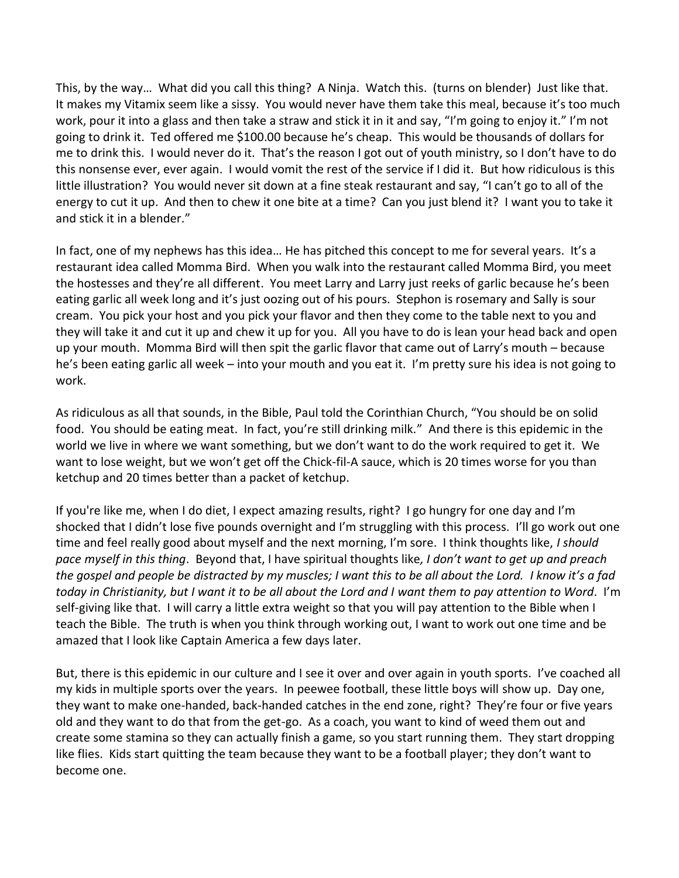This, by the way… What did you call this thing? A Ninja. Watch this. (turns on blender) Just like that. It makes my Vitamix seem like a sissy. You would never have them take this meal, because it's too much work, pour it into a glass and then take a straw and stick it in it and say, "I'm going to enjoy it." I'm not going to drink it. Ted offered me \$100.00 because he's cheap. This would be thousands of dollars for me to drink this. I would never do it. That's the reason I got out of youth ministry, so I don't have to do this nonsense ever, ever again. I would vomit the rest of the service if I did it. But how ridiculous is this little illustration? You would never sit down at a fine steak restaurant and say, "I can't go to all of the energy to cut it up. And then to chew it one bite at a time? Can you just blend it? I want you to take it and stick it in a blender."

In fact, one of my nephews has this idea… He has pitched this concept to me for several years. It's a restaurant idea called Momma Bird. When you walk into the restaurant called Momma Bird, you meet the hostesses and they're all different. You meet Larry and Larry just reeks of garlic because he's been eating garlic all week long and it's just oozing out of his pours. Stephon is rosemary and Sally is sour cream. You pick your host and you pick your flavor and then they come to the table next to you and they will take it and cut it up and chew it up for you. All you have to do is lean your head back and open up your mouth. Momma Bird will then spit the garlic flavor that came out of Larry's mouth – because he's been eating garlic all week – into your mouth and you eat it. I'm pretty sure his idea is not going to work.

As ridiculous as all that sounds, in the Bible, Paul told the Corinthian Church, "You should be on solid food. You should be eating meat. In fact, you're still drinking milk." And there is this epidemic in the world we live in where we want something, but we don't want to do the work required to get it. We want to lose weight, but we won't get off the Chick-fil-A sauce, which is 20 times worse for you than ketchup and 20 times better than a packet of ketchup.

If you're like me, when I do diet, I expect amazing results, right? I go hungry for one day and I'm shocked that I didn't lose five pounds overnight and I'm struggling with this process. I'll go work out one time and feel really good about myself and the next morning, I'm sore. I think thoughts like, *I should pace myself in this thing*. Beyond that, I have spiritual thoughts like*, I don't want to get up and preach the gospel and people be distracted by my muscles; I want this to be all about the Lord. I know it's a fad today in Christianity, but I want it to be all about the Lord and I want them to pay attention to Word*. I'm self-giving like that. I will carry a little extra weight so that you will pay attention to the Bible when I teach the Bible. The truth is when you think through working out, I want to work out one time and be amazed that I look like Captain America a few days later.

But, there is this epidemic in our culture and I see it over and over again in youth sports. I've coached all my kids in multiple sports over the years. In peewee football, these little boys will show up. Day one, they want to make one-handed, back-handed catches in the end zone, right? They're four or five years old and they want to do that from the get-go. As a coach, you want to kind of weed them out and create some stamina so they can actually finish a game, so you start running them. They start dropping like flies. Kids start quitting the team because they want to be a football player; they don't want to become one.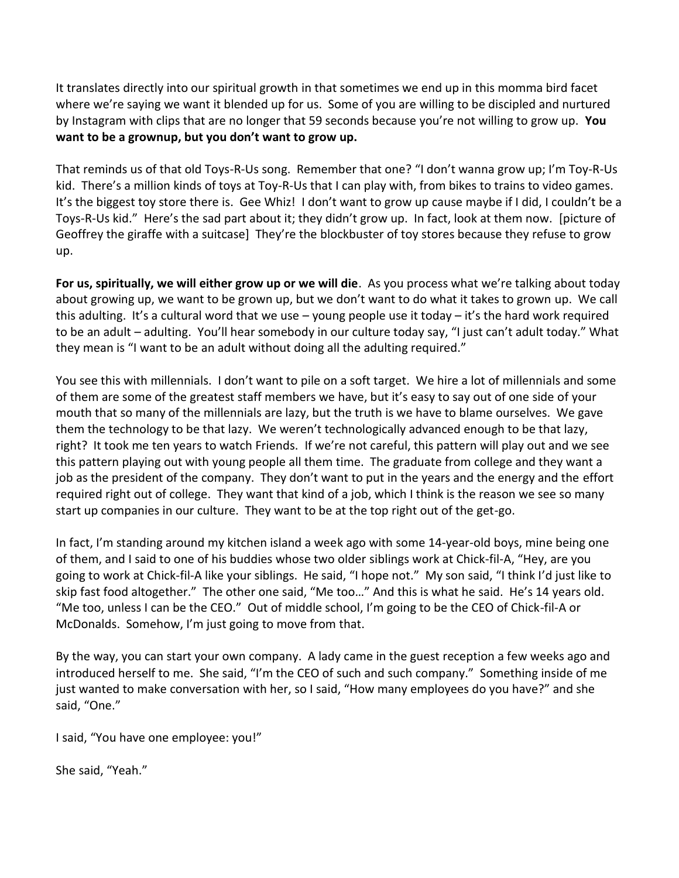It translates directly into our spiritual growth in that sometimes we end up in this momma bird facet where we're saying we want it blended up for us. Some of you are willing to be discipled and nurtured by Instagram with clips that are no longer that 59 seconds because you're not willing to grow up. **You want to be a grownup, but you don't want to grow up.** 

That reminds us of that old Toys-R-Us song. Remember that one? "I don't wanna grow up; I'm Toy-R-Us kid. There's a million kinds of toys at Toy-R-Us that I can play with, from bikes to trains to video games. It's the biggest toy store there is. Gee Whiz! I don't want to grow up cause maybe if I did, I couldn't be a Toys-R-Us kid." Here's the sad part about it; they didn't grow up. In fact, look at them now. [picture of Geoffrey the giraffe with a suitcase] They're the blockbuster of toy stores because they refuse to grow up.

**For us, spiritually, we will either grow up or we will die**. As you process what we're talking about today about growing up, we want to be grown up, but we don't want to do what it takes to grown up. We call this adulting. It's a cultural word that we use – young people use it today – it's the hard work required to be an adult – adulting. You'll hear somebody in our culture today say, "I just can't adult today." What they mean is "I want to be an adult without doing all the adulting required."

You see this with millennials. I don't want to pile on a soft target. We hire a lot of millennials and some of them are some of the greatest staff members we have, but it's easy to say out of one side of your mouth that so many of the millennials are lazy, but the truth is we have to blame ourselves. We gave them the technology to be that lazy. We weren't technologically advanced enough to be that lazy, right? It took me ten years to watch Friends. If we're not careful, this pattern will play out and we see this pattern playing out with young people all them time. The graduate from college and they want a job as the president of the company. They don't want to put in the years and the energy and the effort required right out of college. They want that kind of a job, which I think is the reason we see so many start up companies in our culture. They want to be at the top right out of the get-go.

In fact, I'm standing around my kitchen island a week ago with some 14-year-old boys, mine being one of them, and I said to one of his buddies whose two older siblings work at Chick-fil-A, "Hey, are you going to work at Chick-fil-A like your siblings. He said, "I hope not." My son said, "I think I'd just like to skip fast food altogether." The other one said, "Me too…" And this is what he said. He's 14 years old. "Me too, unless I can be the CEO." Out of middle school, I'm going to be the CEO of Chick-fil-A or McDonalds. Somehow, I'm just going to move from that.

By the way, you can start your own company. A lady came in the guest reception a few weeks ago and introduced herself to me. She said, "I'm the CEO of such and such company." Something inside of me just wanted to make conversation with her, so I said, "How many employees do you have?" and she said, "One."

I said, "You have one employee: you!"

She said, "Yeah."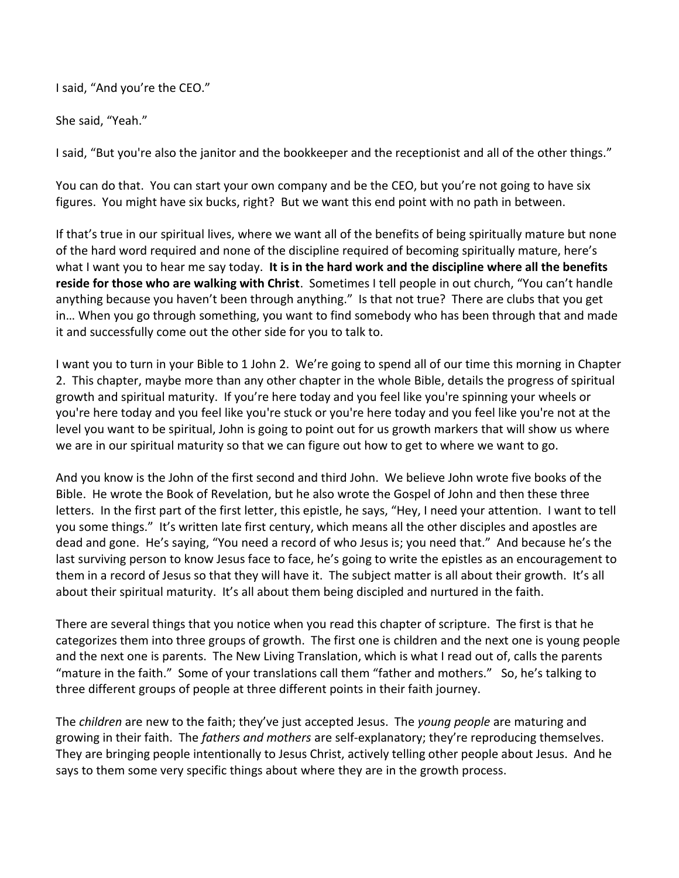I said, "And you're the CEO."

She said, "Yeah."

I said, "But you're also the janitor and the bookkeeper and the receptionist and all of the other things."

You can do that. You can start your own company and be the CEO, but you're not going to have six figures. You might have six bucks, right? But we want this end point with no path in between.

If that's true in our spiritual lives, where we want all of the benefits of being spiritually mature but none of the hard word required and none of the discipline required of becoming spiritually mature, here's what I want you to hear me say today. **It is in the hard work and the discipline where all the benefits reside for those who are walking with Christ**. Sometimes I tell people in out church, "You can't handle anything because you haven't been through anything." Is that not true? There are clubs that you get in… When you go through something, you want to find somebody who has been through that and made it and successfully come out the other side for you to talk to.

I want you to turn in your Bible to 1 John 2. We're going to spend all of our time this morning in Chapter 2. This chapter, maybe more than any other chapter in the whole Bible, details the progress of spiritual growth and spiritual maturity. If you're here today and you feel like you're spinning your wheels or you're here today and you feel like you're stuck or you're here today and you feel like you're not at the level you want to be spiritual, John is going to point out for us growth markers that will show us where we are in our spiritual maturity so that we can figure out how to get to where we want to go.

And you know is the John of the first second and third John. We believe John wrote five books of the Bible. He wrote the Book of Revelation, but he also wrote the Gospel of John and then these three letters. In the first part of the first letter, this epistle, he says, "Hey, I need your attention. I want to tell you some things." It's written late first century, which means all the other disciples and apostles are dead and gone. He's saying, "You need a record of who Jesus is; you need that." And because he's the last surviving person to know Jesus face to face, he's going to write the epistles as an encouragement to them in a record of Jesus so that they will have it. The subject matter is all about their growth. It's all about their spiritual maturity. It's all about them being discipled and nurtured in the faith.

There are several things that you notice when you read this chapter of scripture. The first is that he categorizes them into three groups of growth. The first one is children and the next one is young people and the next one is parents. The New Living Translation, which is what I read out of, calls the parents "mature in the faith." Some of your translations call them "father and mothers." So, he's talking to three different groups of people at three different points in their faith journey.

The *children* are new to the faith; they've just accepted Jesus. The *young people* are maturing and growing in their faith. The *fathers and mothers* are self-explanatory; they're reproducing themselves. They are bringing people intentionally to Jesus Christ, actively telling other people about Jesus. And he says to them some very specific things about where they are in the growth process.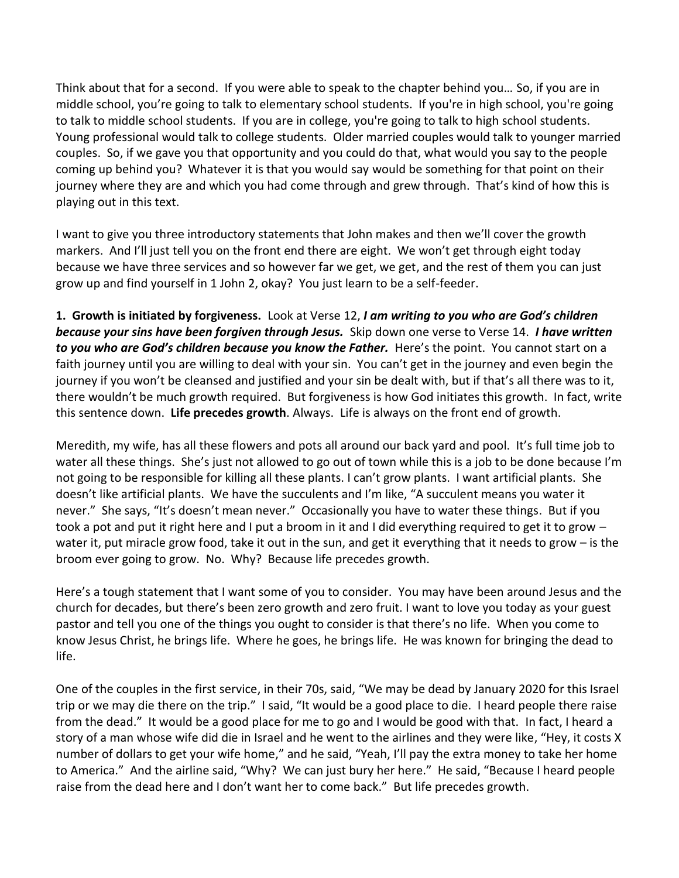Think about that for a second. If you were able to speak to the chapter behind you… So, if you are in middle school, you're going to talk to elementary school students. If you're in high school, you're going to talk to middle school students. If you are in college, you're going to talk to high school students. Young professional would talk to college students. Older married couples would talk to younger married couples. So, if we gave you that opportunity and you could do that, what would you say to the people coming up behind you? Whatever it is that you would say would be something for that point on their journey where they are and which you had come through and grew through. That's kind of how this is playing out in this text.

I want to give you three introductory statements that John makes and then we'll cover the growth markers. And I'll just tell you on the front end there are eight. We won't get through eight today because we have three services and so however far we get, we get, and the rest of them you can just grow up and find yourself in 1 John 2, okay? You just learn to be a self-feeder.

**1. Growth is initiated by forgiveness.** Look at Verse 12, *I am writing to you who are God's children because your sins have been forgiven through Jesus.* Skip down one verse to Verse 14. *I have written to you who are God's children because you know the Father.* Here's the point. You cannot start on a faith journey until you are willing to deal with your sin. You can't get in the journey and even begin the journey if you won't be cleansed and justified and your sin be dealt with, but if that's all there was to it, there wouldn't be much growth required. But forgiveness is how God initiates this growth. In fact, write this sentence down. **Life precedes growth**. Always. Life is always on the front end of growth.

Meredith, my wife, has all these flowers and pots all around our back yard and pool. It's full time job to water all these things. She's just not allowed to go out of town while this is a job to be done because I'm not going to be responsible for killing all these plants. I can't grow plants. I want artificial plants. She doesn't like artificial plants. We have the succulents and I'm like, "A succulent means you water it never." She says, "It's doesn't mean never." Occasionally you have to water these things. But if you took a pot and put it right here and I put a broom in it and I did everything required to get it to grow – water it, put miracle grow food, take it out in the sun, and get it everything that it needs to grow – is the broom ever going to grow. No. Why? Because life precedes growth.

Here's a tough statement that I want some of you to consider. You may have been around Jesus and the church for decades, but there's been zero growth and zero fruit. I want to love you today as your guest pastor and tell you one of the things you ought to consider is that there's no life. When you come to know Jesus Christ, he brings life. Where he goes, he brings life. He was known for bringing the dead to life.

One of the couples in the first service, in their 70s, said, "We may be dead by January 2020 for this Israel trip or we may die there on the trip." I said, "It would be a good place to die. I heard people there raise from the dead." It would be a good place for me to go and I would be good with that. In fact, I heard a story of a man whose wife did die in Israel and he went to the airlines and they were like, "Hey, it costs X number of dollars to get your wife home," and he said, "Yeah, I'll pay the extra money to take her home to America." And the airline said, "Why? We can just bury her here." He said, "Because I heard people raise from the dead here and I don't want her to come back." But life precedes growth.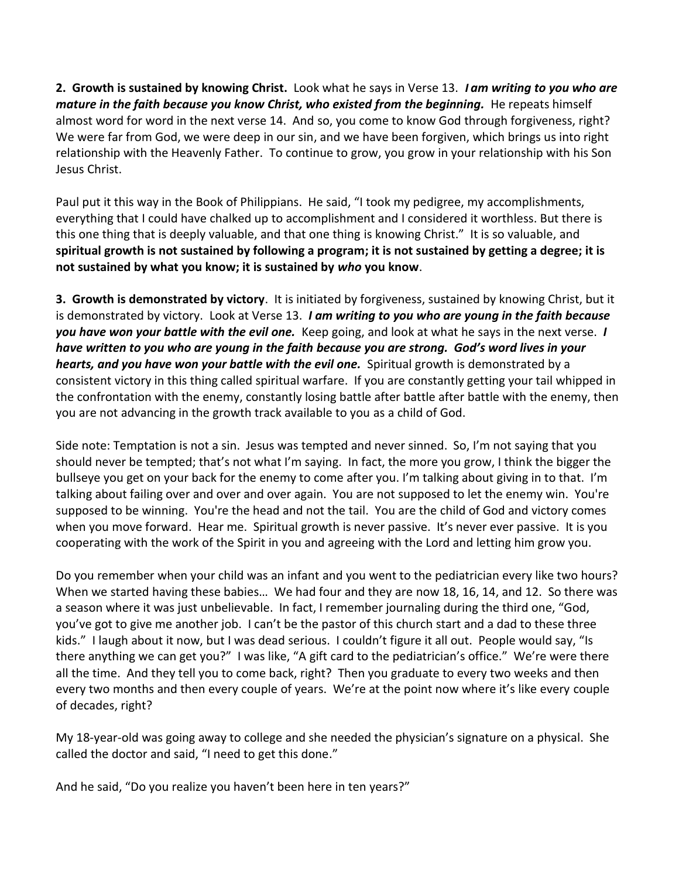**2. Growth is sustained by knowing Christ.** Look what he says in Verse 13. **I** *am writing to you who are mature in the faith because you know Christ, who existed from the beginning.* He repeats himself almost word for word in the next verse 14. And so, you come to know God through forgiveness, right? We were far from God, we were deep in our sin, and we have been forgiven, which brings us into right relationship with the Heavenly Father. To continue to grow, you grow in your relationship with his Son Jesus Christ.

Paul put it this way in the Book of Philippians. He said, "I took my pedigree, my accomplishments, everything that I could have chalked up to accomplishment and I considered it worthless. But there is this one thing that is deeply valuable, and that one thing is knowing Christ." It is so valuable, and **spiritual growth is not sustained by following a program; it is not sustained by getting a degree; it is not sustained by what you know; it is sustained by** *who* **you know**.

**3. Growth is demonstrated by victory**. It is initiated by forgiveness, sustained by knowing Christ, but it is demonstrated by victory. Look at Verse 13. *I am writing to you who are young in the faith because you have won your battle with the evil one.* Keep going, and look at what he says in the next verse. *I have written to you who are young in the faith because you are strong. God's word lives in your hearts, and you have won your battle with the evil one.* Spiritual growth is demonstrated by a consistent victory in this thing called spiritual warfare. If you are constantly getting your tail whipped in the confrontation with the enemy, constantly losing battle after battle after battle with the enemy, then you are not advancing in the growth track available to you as a child of God.

Side note: Temptation is not a sin. Jesus was tempted and never sinned. So, I'm not saying that you should never be tempted; that's not what I'm saying. In fact, the more you grow, I think the bigger the bullseye you get on your back for the enemy to come after you. I'm talking about giving in to that. I'm talking about failing over and over and over again. You are not supposed to let the enemy win. You're supposed to be winning. You're the head and not the tail. You are the child of God and victory comes when you move forward. Hear me. Spiritual growth is never passive. It's never ever passive. It is you cooperating with the work of the Spirit in you and agreeing with the Lord and letting him grow you.

Do you remember when your child was an infant and you went to the pediatrician every like two hours? When we started having these babies… We had four and they are now 18, 16, 14, and 12. So there was a season where it was just unbelievable. In fact, I remember journaling during the third one, "God, you've got to give me another job. I can't be the pastor of this church start and a dad to these three kids." I laugh about it now, but I was dead serious. I couldn't figure it all out. People would say, "Is there anything we can get you?" I was like, "A gift card to the pediatrician's office." We're were there all the time. And they tell you to come back, right? Then you graduate to every two weeks and then every two months and then every couple of years. We're at the point now where it's like every couple of decades, right?

My 18-year-old was going away to college and she needed the physician's signature on a physical. She called the doctor and said, "I need to get this done."

And he said, "Do you realize you haven't been here in ten years?"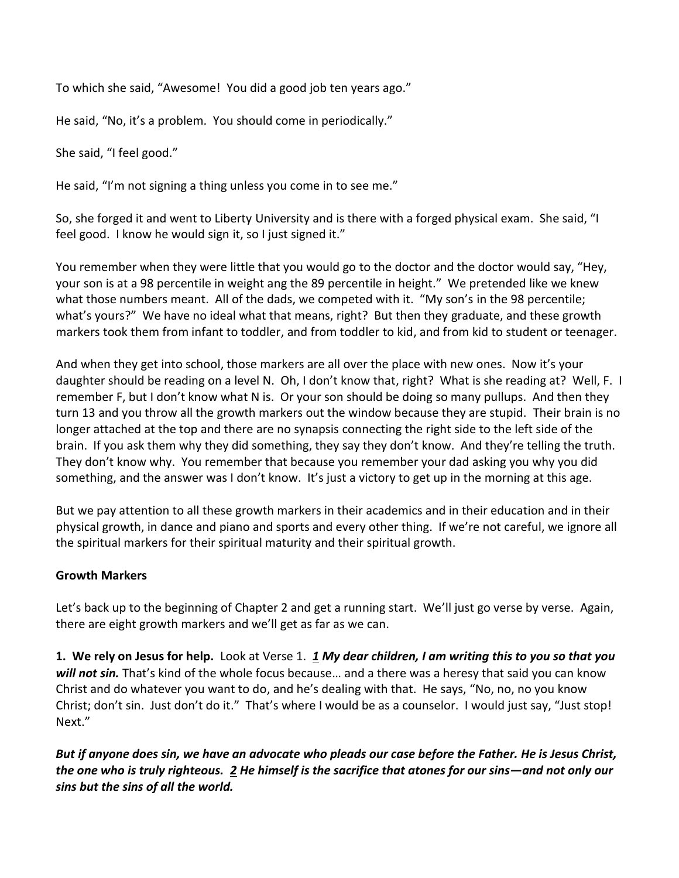To which she said, "Awesome! You did a good job ten years ago."

He said, "No, it's a problem. You should come in periodically."

She said, "I feel good."

He said, "I'm not signing a thing unless you come in to see me."

So, she forged it and went to Liberty University and is there with a forged physical exam. She said, "I feel good. I know he would sign it, so I just signed it."

You remember when they were little that you would go to the doctor and the doctor would say, "Hey, your son is at a 98 percentile in weight ang the 89 percentile in height." We pretended like we knew what those numbers meant. All of the dads, we competed with it. "My son's in the 98 percentile; what's yours?" We have no ideal what that means, right? But then they graduate, and these growth markers took them from infant to toddler, and from toddler to kid, and from kid to student or teenager.

And when they get into school, those markers are all over the place with new ones. Now it's your daughter should be reading on a level N. Oh, I don't know that, right? What is she reading at? Well, F. I remember F, but I don't know what N is. Or your son should be doing so many pullups. And then they turn 13 and you throw all the growth markers out the window because they are stupid. Their brain is no longer attached at the top and there are no synapsis connecting the right side to the left side of the brain. If you ask them why they did something, they say they don't know. And they're telling the truth. They don't know why. You remember that because you remember your dad asking you why you did something, and the answer was I don't know. It's just a victory to get up in the morning at this age.

But we pay attention to all these growth markers in their academics and in their education and in their physical growth, in dance and piano and sports and every other thing. If we're not careful, we ignore all the spiritual markers for their spiritual maturity and their spiritual growth.

## **Growth Markers**

Let's back up to the beginning of Chapter 2 and get a running start. We'll just go verse by verse. Again, there are eight growth markers and we'll get as far as we can.

**1. We rely on Jesus for help.** Look at Verse 1. *[1](https://www.studylight.org/desk/?q=1jo%202:1&t1=en_nlt&sr=1) My dear children, I am writing this to you so that you will not sin.* That's kind of the whole focus because… and a there was a heresy that said you can know Christ and do whatever you want to do, and he's dealing with that. He says, "No, no, no you know Christ; don't sin. Just don't do it." That's where I would be as a counselor. I would just say, "Just stop! Next."

*But if anyone does sin, we have an advocate who pleads our case before the Father. He is Jesus Christ, the one who is truly righteous. [2](https://www.studylight.org/desk/?q=1jo%202:2&t1=en_nlt&sr=1) He himself is the sacrifice that atones for our sins—and not only our sins but the sins of all the world.*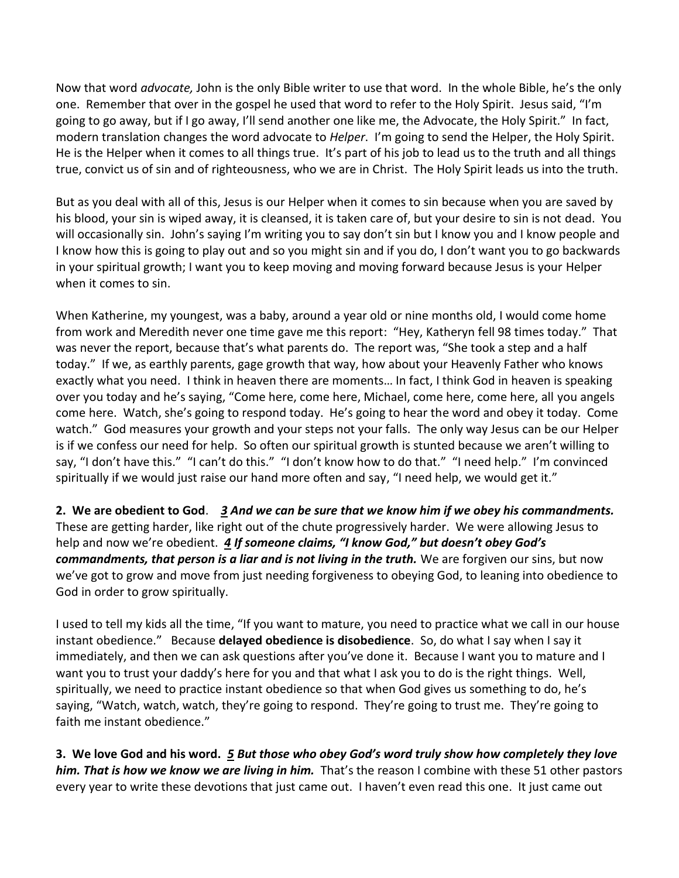Now that word *advocate,* John is the only Bible writer to use that word. In the whole Bible, he's the only one. Remember that over in the gospel he used that word to refer to the Holy Spirit. Jesus said, "I'm going to go away, but if I go away, I'll send another one like me, the Advocate, the Holy Spirit." In fact, modern translation changes the word advocate to *Helper*. I'm going to send the Helper, the Holy Spirit. He is the Helper when it comes to all things true. It's part of his job to lead us to the truth and all things true, convict us of sin and of righteousness, who we are in Christ. The Holy Spirit leads us into the truth.

But as you deal with all of this, Jesus is our Helper when it comes to sin because when you are saved by his blood, your sin is wiped away, it is cleansed, it is taken care of, but your desire to sin is not dead. You will occasionally sin. John's saying I'm writing you to say don't sin but I know you and I know people and I know how this is going to play out and so you might sin and if you do, I don't want you to go backwards in your spiritual growth; I want you to keep moving and moving forward because Jesus is your Helper when it comes to sin.

When Katherine, my youngest, was a baby, around a year old or nine months old, I would come home from work and Meredith never one time gave me this report: "Hey, Katheryn fell 98 times today." That was never the report, because that's what parents do. The report was, "She took a step and a half today." If we, as earthly parents, gage growth that way, how about your Heavenly Father who knows exactly what you need. I think in heaven there are moments… In fact, I think God in heaven is speaking over you today and he's saying, "Come here, come here, Michael, come here, come here, all you angels come here. Watch, she's going to respond today. He's going to hear the word and obey it today. Come watch." God measures your growth and your steps not your falls. The only way Jesus can be our Helper is if we confess our need for help. So often our spiritual growth is stunted because we aren't willing to say, "I don't have this." "I can't do this." "I don't know how to do that." "I need help." I'm convinced spiritually if we would just raise our hand more often and say, "I need help, we would get it."

**2. We are obedient to God**. *[3](https://www.studylight.org/desk/?q=1jo%202:3&t1=en_nlt&sr=1) And we can be sure that we know him if we obey his commandments.* These are getting harder, like right out of the chute progressively harder. We were allowing Jesus to help and now we're obedient. *[4](https://www.studylight.org/desk/?q=1jo%202:4&t1=en_nlt&sr=1) If someone claims, "I know God," but doesn't obey God's commandments, that person is a liar and is not living in the truth.* We are forgiven our sins, but now we've got to grow and move from just needing forgiveness to obeying God, to leaning into obedience to God in order to grow spiritually.

I used to tell my kids all the time, "If you want to mature, you need to practice what we call in our house instant obedience." Because **delayed obedience is disobedience**. So, do what I say when I say it immediately, and then we can ask questions after you've done it. Because I want you to mature and I want you to trust your daddy's here for you and that what I ask you to do is the right things. Well, spiritually, we need to practice instant obedience so that when God gives us something to do, he's saying, "Watch, watch, watch, they're going to respond. They're going to trust me. They're going to faith me instant obedience."

**3. We love God and his word.** *[5](https://www.studylight.org/desk/?q=1jo%202:5&t1=en_nlt&sr=1) But those who obey God's word truly show how completely they love him. That is how we know we are living in him.* That's the reason I combine with these 51 other pastors every year to write these devotions that just came out. I haven't even read this one. It just came out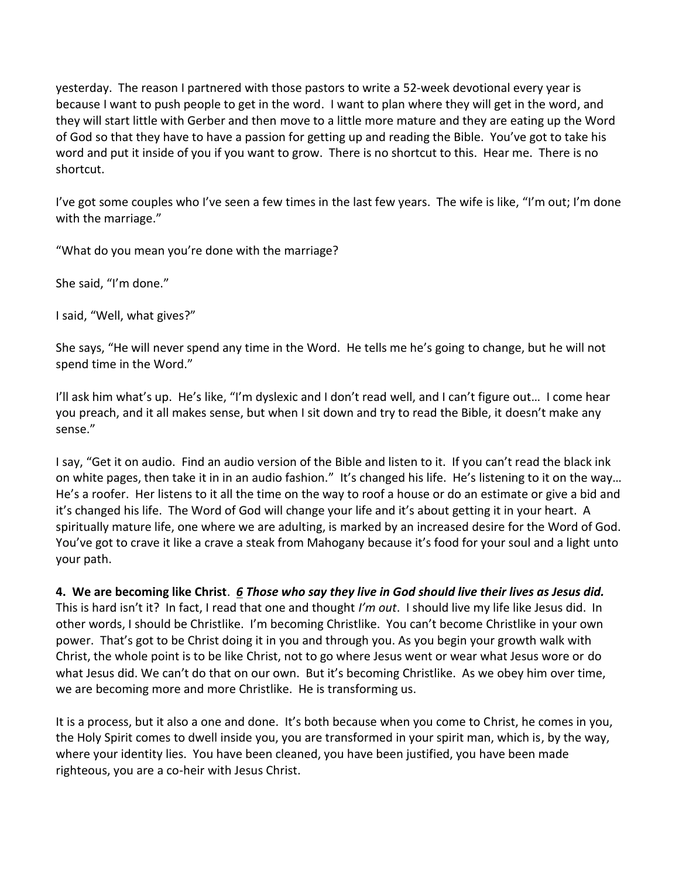yesterday. The reason I partnered with those pastors to write a 52-week devotional every year is because I want to push people to get in the word. I want to plan where they will get in the word, and they will start little with Gerber and then move to a little more mature and they are eating up the Word of God so that they have to have a passion for getting up and reading the Bible. You've got to take his word and put it inside of you if you want to grow. There is no shortcut to this. Hear me. There is no shortcut.

I've got some couples who I've seen a few times in the last few years. The wife is like, "I'm out; I'm done with the marriage."

"What do you mean you're done with the marriage?

She said, "I'm done."

I said, "Well, what gives?"

She says, "He will never spend any time in the Word. He tells me he's going to change, but he will not spend time in the Word."

I'll ask him what's up. He's like, "I'm dyslexic and I don't read well, and I can't figure out... I come hear you preach, and it all makes sense, but when I sit down and try to read the Bible, it doesn't make any sense."

I say, "Get it on audio. Find an audio version of the Bible and listen to it. If you can't read the black ink on white pages, then take it in in an audio fashion." It's changed his life. He's listening to it on the way… He's a roofer. Her listens to it all the time on the way to roof a house or do an estimate or give a bid and it's changed his life. The Word of God will change your life and it's about getting it in your heart. A spiritually mature life, one where we are adulting, is marked by an increased desire for the Word of God. You've got to crave it like a crave a steak from Mahogany because it's food for your soul and a light unto your path.

**4. We are becoming like Christ**. *[6](https://www.studylight.org/desk/?q=1jo%202:6&t1=en_nlt&sr=1) Those who say they live in God should live their lives as Jesus did.* This is hard isn't it? In fact, I read that one and thought *I'm out*. I should live my life like Jesus did. In other words, I should be Christlike. I'm becoming Christlike. You can't become Christlike in your own power. That's got to be Christ doing it in you and through you. As you begin your growth walk with Christ, the whole point is to be like Christ, not to go where Jesus went or wear what Jesus wore or do what Jesus did. We can't do that on our own. But it's becoming Christlike. As we obey him over time, we are becoming more and more Christlike. He is transforming us.

It is a process, but it also a one and done. It's both because when you come to Christ, he comes in you, the Holy Spirit comes to dwell inside you, you are transformed in your spirit man, which is, by the way, where your identity lies. You have been cleaned, you have been justified, you have been made righteous, you are a co-heir with Jesus Christ.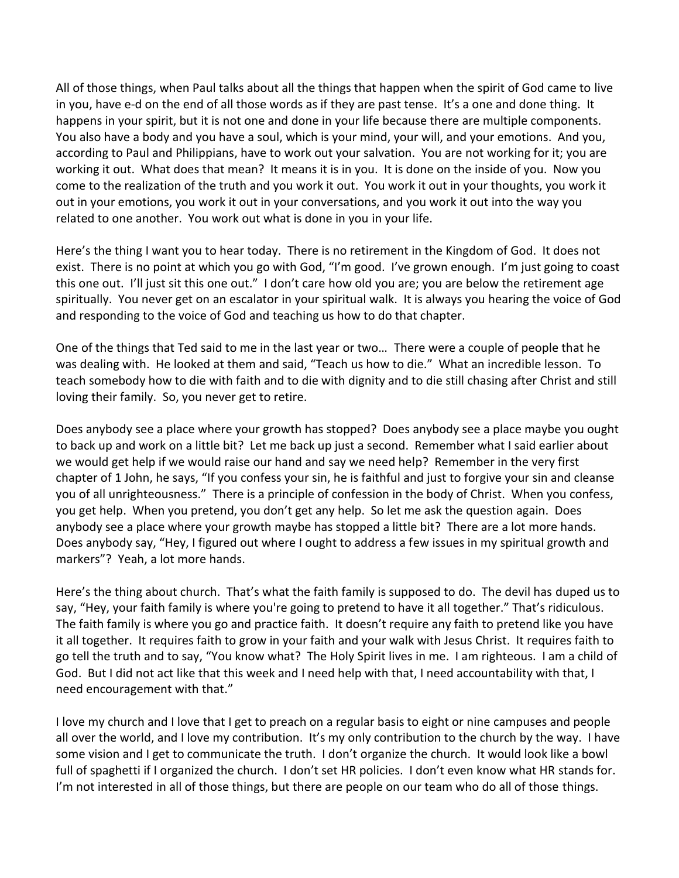All of those things, when Paul talks about all the things that happen when the spirit of God came to live in you, have e-d on the end of all those words as if they are past tense. It's a one and done thing. It happens in your spirit, but it is not one and done in your life because there are multiple components. You also have a body and you have a soul, which is your mind, your will, and your emotions. And you, according to Paul and Philippians, have to work out your salvation. You are not working for it; you are working it out. What does that mean? It means it is in you. It is done on the inside of you. Now you come to the realization of the truth and you work it out. You work it out in your thoughts, you work it out in your emotions, you work it out in your conversations, and you work it out into the way you related to one another. You work out what is done in you in your life.

Here's the thing I want you to hear today. There is no retirement in the Kingdom of God. It does not exist. There is no point at which you go with God, "I'm good. I've grown enough. I'm just going to coast this one out. I'll just sit this one out." I don't care how old you are; you are below the retirement age spiritually. You never get on an escalator in your spiritual walk. It is always you hearing the voice of God and responding to the voice of God and teaching us how to do that chapter.

One of the things that Ted said to me in the last year or two… There were a couple of people that he was dealing with. He looked at them and said, "Teach us how to die." What an incredible lesson. To teach somebody how to die with faith and to die with dignity and to die still chasing after Christ and still loving their family. So, you never get to retire.

Does anybody see a place where your growth has stopped? Does anybody see a place maybe you ought to back up and work on a little bit? Let me back up just a second. Remember what I said earlier about we would get help if we would raise our hand and say we need help? Remember in the very first chapter of 1 John, he says, "If you confess your sin, he is faithful and just to forgive your sin and cleanse you of all unrighteousness." There is a principle of confession in the body of Christ. When you confess, you get help. When you pretend, you don't get any help. So let me ask the question again. Does anybody see a place where your growth maybe has stopped a little bit? There are a lot more hands. Does anybody say, "Hey, I figured out where I ought to address a few issues in my spiritual growth and markers"? Yeah, a lot more hands.

Here's the thing about church. That's what the faith family is supposed to do. The devil has duped us to say, "Hey, your faith family is where you're going to pretend to have it all together." That's ridiculous. The faith family is where you go and practice faith. It doesn't require any faith to pretend like you have it all together. It requires faith to grow in your faith and your walk with Jesus Christ. It requires faith to go tell the truth and to say, "You know what? The Holy Spirit lives in me. I am righteous. I am a child of God. But I did not act like that this week and I need help with that, I need accountability with that, I need encouragement with that."

I love my church and I love that I get to preach on a regular basis to eight or nine campuses and people all over the world, and I love my contribution. It's my only contribution to the church by the way. I have some vision and I get to communicate the truth. I don't organize the church. It would look like a bowl full of spaghetti if I organized the church. I don't set HR policies. I don't even know what HR stands for. I'm not interested in all of those things, but there are people on our team who do all of those things.